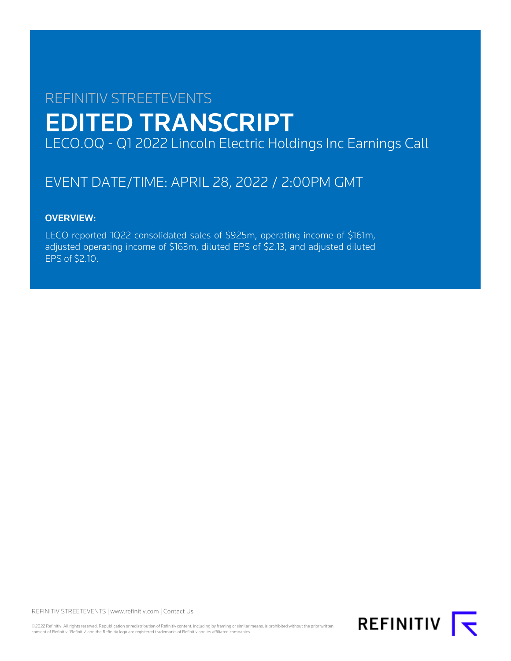# REFINITIV STREETEVENTS EDITED TRANSCRIPT LECO.OQ - Q1 2022 Lincoln Electric Holdings Inc Earnings Call

# EVENT DATE/TIME: APRIL 28, 2022 / 2:00PM GMT

# OVERVIEW:

LECO reported 1Q22 consolidated sales of \$925m, operating income of \$161m, adjusted operating income of \$163m, diluted EPS of \$2.13, and adjusted diluted EPS of \$2.10.

REFINITIV STREETEVENTS | [www.refinitiv.com](https://www.refinitiv.com/) | [Contact Us](https://www.refinitiv.com/en/contact-us)

©2022 Refinitiv. All rights reserved. Republication or redistribution of Refinitiv content, including by framing or similar means, is prohibited without the prior written consent of Refinitiv. 'Refinitiv' and the Refinitiv logo are registered trademarks of Refinitiv and its affiliated companies.

**REFINITIV**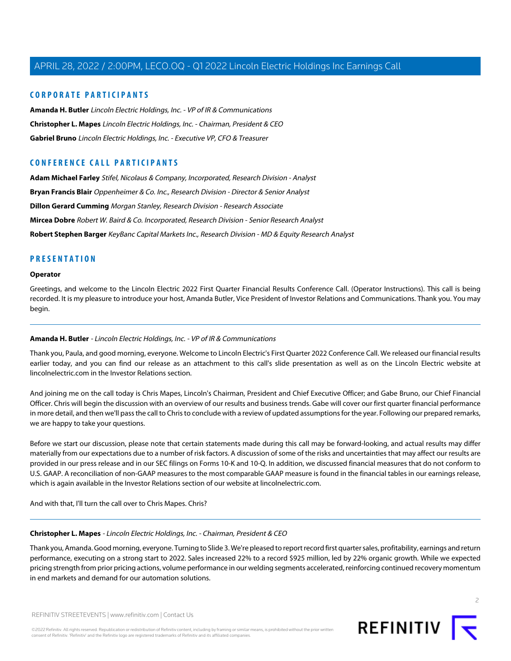# **CORPORATE PARTICIPANTS**

**[Amanda H. Butler](#page-1-0)** Lincoln Electric Holdings, Inc. - VP of IR & Communications **[Christopher L. Mapes](#page-1-1)** Lincoln Electric Holdings, Inc. - Chairman, President & CEO **[Gabriel Bruno](#page-2-0)** Lincoln Electric Holdings, Inc. - Executive VP, CFO & Treasurer

# **CONFERENCE CALL PARTICIPANTS**

**[Adam Michael Farley](#page-10-0)** Stifel, Nicolaus & Company, Incorporated, Research Division - Analyst **[Bryan Francis Blair](#page-4-0)** Oppenheimer & Co. Inc., Research Division - Director & Senior Analyst **[Dillon Gerard Cumming](#page-7-0)** Morgan Stanley, Research Division - Research Associate **[Mircea Dobre](#page-5-0)** Robert W. Baird & Co. Incorporated, Research Division - Senior Research Analyst **[Robert Stephen Barger](#page-9-0)** KeyBanc Capital Markets Inc., Research Division - MD & Equity Research Analyst

# **PRESENTATION**

#### **Operator**

<span id="page-1-0"></span>Greetings, and welcome to the Lincoln Electric 2022 First Quarter Financial Results Conference Call. (Operator Instructions). This call is being recorded. It is my pleasure to introduce your host, Amanda Butler, Vice President of Investor Relations and Communications. Thank you. You may begin.

# **Amanda H. Butler** - Lincoln Electric Holdings, Inc. - VP of IR & Communications

Thank you, Paula, and good morning, everyone. Welcome to Lincoln Electric's First Quarter 2022 Conference Call. We released our financial results earlier today, and you can find our release as an attachment to this call's slide presentation as well as on the Lincoln Electric website at lincolnelectric.com in the Investor Relations section.

And joining me on the call today is Chris Mapes, Lincoln's Chairman, President and Chief Executive Officer; and Gabe Bruno, our Chief Financial Officer. Chris will begin the discussion with an overview of our results and business trends. Gabe will cover our first quarter financial performance in more detail, and then we'll pass the call to Chris to conclude with a review of updated assumptions for the year. Following our prepared remarks, we are happy to take your questions.

Before we start our discussion, please note that certain statements made during this call may be forward-looking, and actual results may differ materially from our expectations due to a number of risk factors. A discussion of some of the risks and uncertainties that may affect our results are provided in our press release and in our SEC filings on Forms 10-K and 10-Q. In addition, we discussed financial measures that do not conform to U.S. GAAP. A reconciliation of non-GAAP measures to the most comparable GAAP measure is found in the financial tables in our earnings release, which is again available in the Investor Relations section of our website at lincolnelectric.com.

<span id="page-1-1"></span>And with that, I'll turn the call over to Chris Mapes. Chris?

#### **Christopher L. Mapes** - Lincoln Electric Holdings, Inc. - Chairman, President & CEO

Thank you, Amanda. Good morning, everyone. Turning to Slide 3. We're pleased to report record first quarter sales, profitability, earnings and return performance, executing on a strong start to 2022. Sales increased 22% to a record \$925 million, led by 22% organic growth. While we expected pricing strength from prior pricing actions, volume performance in our welding segments accelerated, reinforcing continued recovery momentum in end markets and demand for our automation solutions.



2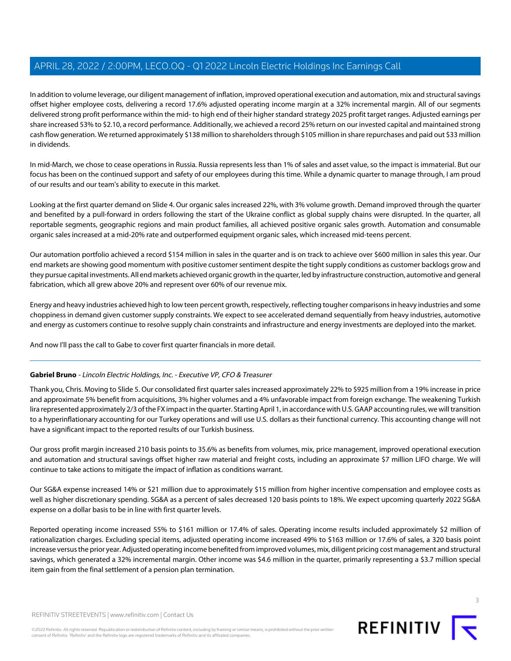In addition to volume leverage, our diligent management of inflation, improved operational execution and automation, mix and structural savings offset higher employee costs, delivering a record 17.6% adjusted operating income margin at a 32% incremental margin. All of our segments delivered strong profit performance within the mid- to high end of their higher standard strategy 2025 profit target ranges. Adjusted earnings per share increased 53% to \$2.10, a record performance. Additionally, we achieved a record 25% return on our invested capital and maintained strong cash flow generation. We returned approximately \$138 million to shareholders through \$105 million in share repurchases and paid out \$33 million in dividends.

In mid-March, we chose to cease operations in Russia. Russia represents less than 1% of sales and asset value, so the impact is immaterial. But our focus has been on the continued support and safety of our employees during this time. While a dynamic quarter to manage through, I am proud of our results and our team's ability to execute in this market.

Looking at the first quarter demand on Slide 4. Our organic sales increased 22%, with 3% volume growth. Demand improved through the quarter and benefited by a pull-forward in orders following the start of the Ukraine conflict as global supply chains were disrupted. In the quarter, all reportable segments, geographic regions and main product families, all achieved positive organic sales growth. Automation and consumable organic sales increased at a mid-20% rate and outperformed equipment organic sales, which increased mid-teens percent.

Our automation portfolio achieved a record \$154 million in sales in the quarter and is on track to achieve over \$600 million in sales this year. Our end markets are showing good momentum with positive customer sentiment despite the tight supply conditions as customer backlogs grow and they pursue capital investments. All end markets achieved organic growth in the quarter, led by infrastructure construction, automotive and general fabrication, which all grew above 20% and represent over 60% of our revenue mix.

Energy and heavy industries achieved high to low teen percent growth, respectively, reflecting tougher comparisons in heavy industries and some choppiness in demand given customer supply constraints. We expect to see accelerated demand sequentially from heavy industries, automotive and energy as customers continue to resolve supply chain constraints and infrastructure and energy investments are deployed into the market.

<span id="page-2-0"></span>And now I'll pass the call to Gabe to cover first quarter financials in more detail.

# **Gabriel Bruno** - Lincoln Electric Holdings, Inc. - Executive VP, CFO & Treasurer

Thank you, Chris. Moving to Slide 5. Our consolidated first quarter sales increased approximately 22% to \$925 million from a 19% increase in price and approximate 5% benefit from acquisitions, 3% higher volumes and a 4% unfavorable impact from foreign exchange. The weakening Turkish lira represented approximately 2/3 of the FX impact in the quarter. Starting April 1, in accordance with U.S. GAAP accounting rules, we will transition to a hyperinflationary accounting for our Turkey operations and will use U.S. dollars as their functional currency. This accounting change will not have a significant impact to the reported results of our Turkish business.

Our gross profit margin increased 210 basis points to 35.6% as benefits from volumes, mix, price management, improved operational execution and automation and structural savings offset higher raw material and freight costs, including an approximate \$7 million LIFO charge. We will continue to take actions to mitigate the impact of inflation as conditions warrant.

Our SG&A expense increased 14% or \$21 million due to approximately \$15 million from higher incentive compensation and employee costs as well as higher discretionary spending. SG&A as a percent of sales decreased 120 basis points to 18%. We expect upcoming quarterly 2022 SG&A expense on a dollar basis to be in line with first quarter levels.

Reported operating income increased 55% to \$161 million or 17.4% of sales. Operating income results included approximately \$2 million of rationalization charges. Excluding special items, adjusted operating income increased 49% to \$163 million or 17.6% of sales, a 320 basis point increase versus the prior year. Adjusted operating income benefited from improved volumes, mix, diligent pricing cost management and structural savings, which generated a 32% incremental margin. Other income was \$4.6 million in the quarter, primarily representing a \$3.7 million special item gain from the final settlement of a pension plan termination.



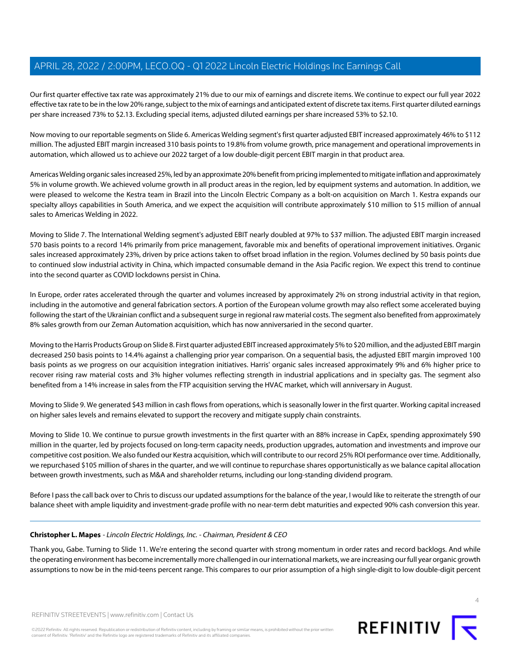Our first quarter effective tax rate was approximately 21% due to our mix of earnings and discrete items. We continue to expect our full year 2022 effective tax rate to be in the low 20% range, subject to the mix of earnings and anticipated extent of discrete tax items. First quarter diluted earnings per share increased 73% to \$2.13. Excluding special items, adjusted diluted earnings per share increased 53% to \$2.10.

Now moving to our reportable segments on Slide 6. Americas Welding segment's first quarter adjusted EBIT increased approximately 46% to \$112 million. The adjusted EBIT margin increased 310 basis points to 19.8% from volume growth, price management and operational improvements in automation, which allowed us to achieve our 2022 target of a low double-digit percent EBIT margin in that product area.

Americas Welding organic sales increased 25%, led by an approximate 20% benefit from pricing implemented to mitigate inflation and approximately 5% in volume growth. We achieved volume growth in all product areas in the region, led by equipment systems and automation. In addition, we were pleased to welcome the Kestra team in Brazil into the Lincoln Electric Company as a bolt-on acquisition on March 1. Kestra expands our specialty alloys capabilities in South America, and we expect the acquisition will contribute approximately \$10 million to \$15 million of annual sales to Americas Welding in 2022.

Moving to Slide 7. The International Welding segment's adjusted EBIT nearly doubled at 97% to \$37 million. The adjusted EBIT margin increased 570 basis points to a record 14% primarily from price management, favorable mix and benefits of operational improvement initiatives. Organic sales increased approximately 23%, driven by price actions taken to offset broad inflation in the region. Volumes declined by 50 basis points due to continued slow industrial activity in China, which impacted consumable demand in the Asia Pacific region. We expect this trend to continue into the second quarter as COVID lockdowns persist in China.

In Europe, order rates accelerated through the quarter and volumes increased by approximately 2% on strong industrial activity in that region, including in the automotive and general fabrication sectors. A portion of the European volume growth may also reflect some accelerated buying following the start of the Ukrainian conflict and a subsequent surge in regional raw material costs. The segment also benefited from approximately 8% sales growth from our Zeman Automation acquisition, which has now anniversaried in the second quarter.

Moving to the Harris Products Group on Slide 8. First quarter adjusted EBIT increased approximately 5% to \$20 million, and the adjusted EBIT margin decreased 250 basis points to 14.4% against a challenging prior year comparison. On a sequential basis, the adjusted EBIT margin improved 100 basis points as we progress on our acquisition integration initiatives. Harris' organic sales increased approximately 9% and 6% higher price to recover rising raw material costs and 3% higher volumes reflecting strength in industrial applications and in specialty gas. The segment also benefited from a 14% increase in sales from the FTP acquisition serving the HVAC market, which will anniversary in August.

Moving to Slide 9. We generated \$43 million in cash flows from operations, which is seasonally lower in the first quarter. Working capital increased on higher sales levels and remains elevated to support the recovery and mitigate supply chain constraints.

Moving to Slide 10. We continue to pursue growth investments in the first quarter with an 88% increase in CapEx, spending approximately \$90 million in the quarter, led by projects focused on long-term capacity needs, production upgrades, automation and investments and improve our competitive cost position. We also funded our Kestra acquisition, which will contribute to our record 25% ROI performance over time. Additionally, we repurchased \$105 million of shares in the quarter, and we will continue to repurchase shares opportunistically as we balance capital allocation between growth investments, such as M&A and shareholder returns, including our long-standing dividend program.

Before I pass the call back over to Chris to discuss our updated assumptions for the balance of the year, I would like to reiterate the strength of our balance sheet with ample liquidity and investment-grade profile with no near-term debt maturities and expected 90% cash conversion this year.

# **Christopher L. Mapes** - Lincoln Electric Holdings, Inc. - Chairman, President & CEO

Thank you, Gabe. Turning to Slide 11. We're entering the second quarter with strong momentum in order rates and record backlogs. And while the operating environment has become incrementally more challenged in our international markets, we are increasing our full year organic growth assumptions to now be in the mid-teens percent range. This compares to our prior assumption of a high single-digit to low double-digit percent

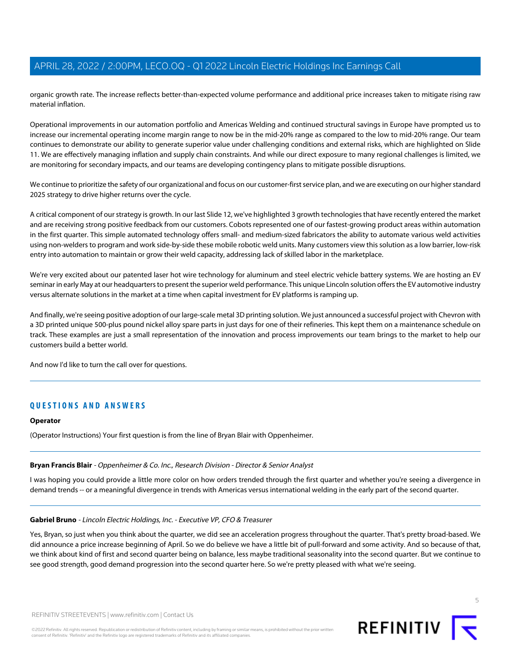organic growth rate. The increase reflects better-than-expected volume performance and additional price increases taken to mitigate rising raw material inflation.

Operational improvements in our automation portfolio and Americas Welding and continued structural savings in Europe have prompted us to increase our incremental operating income margin range to now be in the mid-20% range as compared to the low to mid-20% range. Our team continues to demonstrate our ability to generate superior value under challenging conditions and external risks, which are highlighted on Slide 11. We are effectively managing inflation and supply chain constraints. And while our direct exposure to many regional challenges is limited, we are monitoring for secondary impacts, and our teams are developing contingency plans to mitigate possible disruptions.

We continue to prioritize the safety of our organizational and focus on our customer-first service plan, and we are executing on our higher standard 2025 strategy to drive higher returns over the cycle.

A critical component of our strategy is growth. In our last Slide 12, we've highlighted 3 growth technologies that have recently entered the market and are receiving strong positive feedback from our customers. Cobots represented one of our fastest-growing product areas within automation in the first quarter. This simple automated technology offers small- and medium-sized fabricators the ability to automate various weld activities using non-welders to program and work side-by-side these mobile robotic weld units. Many customers view this solution as a low barrier, low-risk entry into automation to maintain or grow their weld capacity, addressing lack of skilled labor in the marketplace.

We're very excited about our patented laser hot wire technology for aluminum and steel electric vehicle battery systems. We are hosting an EV seminar in early May at our headquarters to present the superior weld performance. This unique Lincoln solution offers the EV automotive industry versus alternate solutions in the market at a time when capital investment for EV platforms is ramping up.

And finally, we're seeing positive adoption of our large-scale metal 3D printing solution. We just announced a successful project with Chevron with a 3D printed unique 500-plus pound nickel alloy spare parts in just days for one of their refineries. This kept them on a maintenance schedule on track. These examples are just a small representation of the innovation and process improvements our team brings to the market to help our customers build a better world.

And now I'd like to turn the call over for questions.

# **QUESTIONS AND ANSWERS**

#### <span id="page-4-0"></span>**Operator**

(Operator Instructions) Your first question is from the line of Bryan Blair with Oppenheimer.

# **Bryan Francis Blair** - Oppenheimer & Co. Inc., Research Division - Director & Senior Analyst

I was hoping you could provide a little more color on how orders trended through the first quarter and whether you're seeing a divergence in demand trends -- or a meaningful divergence in trends with Americas versus international welding in the early part of the second quarter.

#### **Gabriel Bruno** - Lincoln Electric Holdings, Inc. - Executive VP, CFO & Treasurer

Yes, Bryan, so just when you think about the quarter, we did see an acceleration progress throughout the quarter. That's pretty broad-based. We did announce a price increase beginning of April. So we do believe we have a little bit of pull-forward and some activity. And so because of that, we think about kind of first and second quarter being on balance, less maybe traditional seasonality into the second quarter. But we continue to see good strength, good demand progression into the second quarter here. So we're pretty pleased with what we're seeing.



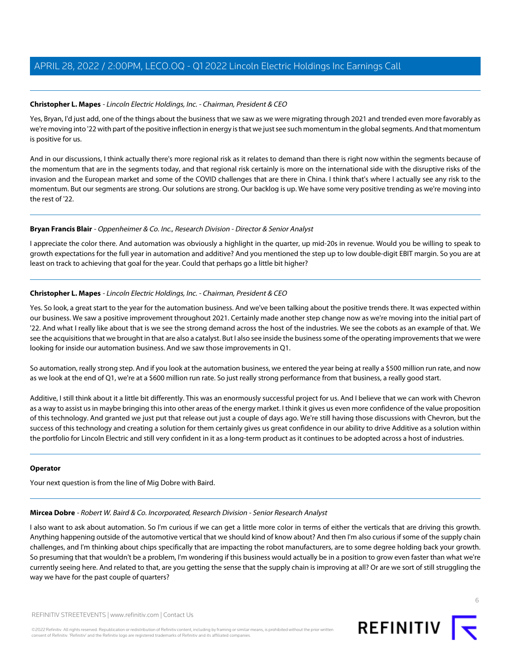## **Christopher L. Mapes** - Lincoln Electric Holdings, Inc. - Chairman, President & CEO

Yes, Bryan, I'd just add, one of the things about the business that we saw as we were migrating through 2021 and trended even more favorably as we're moving into '22 with part of the positive inflection in energy is that we just see such momentum in the global segments. And that momentum is positive for us.

And in our discussions, I think actually there's more regional risk as it relates to demand than there is right now within the segments because of the momentum that are in the segments today, and that regional risk certainly is more on the international side with the disruptive risks of the invasion and the European market and some of the COVID challenges that are there in China. I think that's where I actually see any risk to the momentum. But our segments are strong. Our solutions are strong. Our backlog is up. We have some very positive trending as we're moving into the rest of '22.

#### **Bryan Francis Blair** - Oppenheimer & Co. Inc., Research Division - Director & Senior Analyst

I appreciate the color there. And automation was obviously a highlight in the quarter, up mid-20s in revenue. Would you be willing to speak to growth expectations for the full year in automation and additive? And you mentioned the step up to low double-digit EBIT margin. So you are at least on track to achieving that goal for the year. Could that perhaps go a little bit higher?

# **Christopher L. Mapes** - Lincoln Electric Holdings, Inc. - Chairman, President & CEO

Yes. So look, a great start to the year for the automation business. And we've been talking about the positive trends there. It was expected within our business. We saw a positive improvement throughout 2021. Certainly made another step change now as we're moving into the initial part of '22. And what I really like about that is we see the strong demand across the host of the industries. We see the cobots as an example of that. We see the acquisitions that we brought in that are also a catalyst. But I also see inside the business some of the operating improvements that we were looking for inside our automation business. And we saw those improvements in Q1.

So automation, really strong step. And if you look at the automation business, we entered the year being at really a \$500 million run rate, and now as we look at the end of Q1, we're at a \$600 million run rate. So just really strong performance from that business, a really good start.

Additive, I still think about it a little bit differently. This was an enormously successful project for us. And I believe that we can work with Chevron as a way to assist us in maybe bringing this into other areas of the energy market. I think it gives us even more confidence of the value proposition of this technology. And granted we just put that release out just a couple of days ago. We're still having those discussions with Chevron, but the success of this technology and creating a solution for them certainly gives us great confidence in our ability to drive Additive as a solution within the portfolio for Lincoln Electric and still very confident in it as a long-term product as it continues to be adopted across a host of industries.

#### <span id="page-5-0"></span>**Operator**

Your next question is from the line of Mig Dobre with Baird.

#### **Mircea Dobre** - Robert W. Baird & Co. Incorporated, Research Division - Senior Research Analyst

I also want to ask about automation. So I'm curious if we can get a little more color in terms of either the verticals that are driving this growth. Anything happening outside of the automotive vertical that we should kind of know about? And then I'm also curious if some of the supply chain challenges, and I'm thinking about chips specifically that are impacting the robot manufacturers, are to some degree holding back your growth. So presuming that that wouldn't be a problem, I'm wondering if this business would actually be in a position to grow even faster than what we're currently seeing here. And related to that, are you getting the sense that the supply chain is improving at all? Or are we sort of still struggling the way we have for the past couple of quarters?

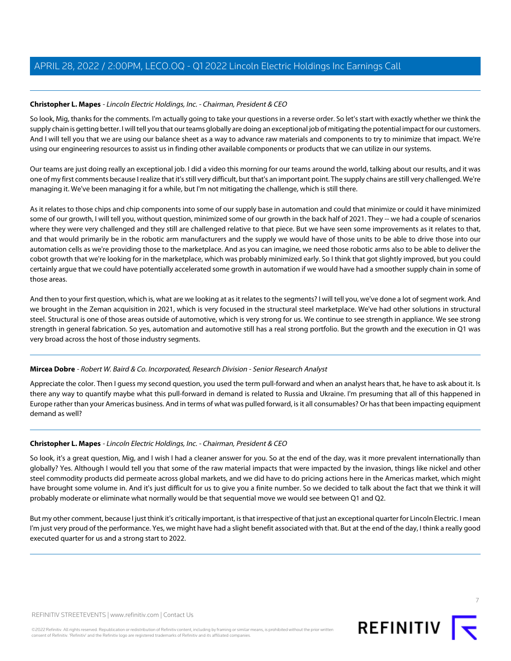# **Christopher L. Mapes** - Lincoln Electric Holdings, Inc. - Chairman, President & CEO

So look, Mig, thanks for the comments. I'm actually going to take your questions in a reverse order. So let's start with exactly whether we think the supply chain is getting better. I will tell you that our teams globally are doing an exceptional job of mitigating the potential impact for our customers. And I will tell you that we are using our balance sheet as a way to advance raw materials and components to try to minimize that impact. We're using our engineering resources to assist us in finding other available components or products that we can utilize in our systems.

Our teams are just doing really an exceptional job. I did a video this morning for our teams around the world, talking about our results, and it was one of my first comments because I realize that it's still very difficult, but that's an important point. The supply chains are still very challenged. We're managing it. We've been managing it for a while, but I'm not mitigating the challenge, which is still there.

As it relates to those chips and chip components into some of our supply base in automation and could that minimize or could it have minimized some of our growth, I will tell you, without question, minimized some of our growth in the back half of 2021. They -- we had a couple of scenarios where they were very challenged and they still are challenged relative to that piece. But we have seen some improvements as it relates to that, and that would primarily be in the robotic arm manufacturers and the supply we would have of those units to be able to drive those into our automation cells as we're providing those to the marketplace. And as you can imagine, we need those robotic arms also to be able to deliver the cobot growth that we're looking for in the marketplace, which was probably minimized early. So I think that got slightly improved, but you could certainly argue that we could have potentially accelerated some growth in automation if we would have had a smoother supply chain in some of those areas.

And then to your first question, which is, what are we looking at as it relates to the segments? I will tell you, we've done a lot of segment work. And we brought in the Zeman acquisition in 2021, which is very focused in the structural steel marketplace. We've had other solutions in structural steel. Structural is one of those areas outside of automotive, which is very strong for us. We continue to see strength in appliance. We see strong strength in general fabrication. So yes, automation and automotive still has a real strong portfolio. But the growth and the execution in Q1 was very broad across the host of those industry segments.

# **Mircea Dobre** - Robert W. Baird & Co. Incorporated, Research Division - Senior Research Analyst

Appreciate the color. Then I guess my second question, you used the term pull-forward and when an analyst hears that, he have to ask about it. Is there any way to quantify maybe what this pull-forward in demand is related to Russia and Ukraine. I'm presuming that all of this happened in Europe rather than your Americas business. And in terms of what was pulled forward, is it all consumables? Or has that been impacting equipment demand as well?

# **Christopher L. Mapes** - Lincoln Electric Holdings, Inc. - Chairman, President & CEO

So look, it's a great question, Mig, and I wish I had a cleaner answer for you. So at the end of the day, was it more prevalent internationally than globally? Yes. Although I would tell you that some of the raw material impacts that were impacted by the invasion, things like nickel and other steel commodity products did permeate across global markets, and we did have to do pricing actions here in the Americas market, which might have brought some volume in. And it's just difficult for us to give you a finite number. So we decided to talk about the fact that we think it will probably moderate or eliminate what normally would be that sequential move we would see between Q1 and Q2.

But my other comment, because I just think it's critically important, is that irrespective of that just an exceptional quarter for Lincoln Electric. I mean I'm just very proud of the performance. Yes, we might have had a slight benefit associated with that. But at the end of the day, I think a really good executed quarter for us and a strong start to 2022.

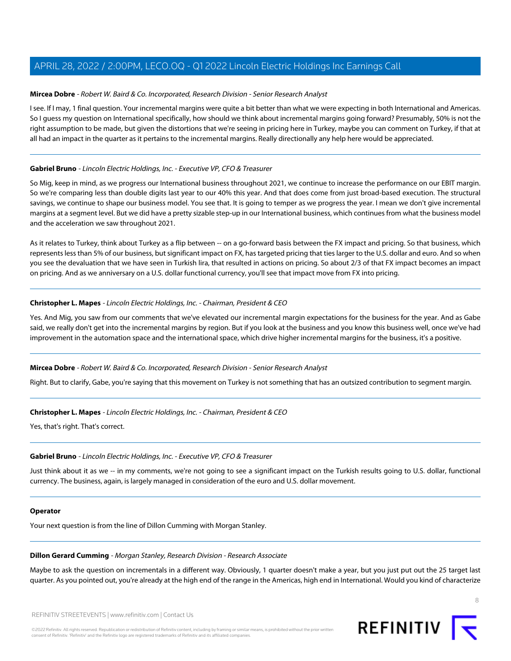## **Mircea Dobre** - Robert W. Baird & Co. Incorporated, Research Division - Senior Research Analyst

I see. If I may, 1 final question. Your incremental margins were quite a bit better than what we were expecting in both International and Americas. So I guess my question on International specifically, how should we think about incremental margins going forward? Presumably, 50% is not the right assumption to be made, but given the distortions that we're seeing in pricing here in Turkey, maybe you can comment on Turkey, if that at all had an impact in the quarter as it pertains to the incremental margins. Really directionally any help here would be appreciated.

# **Gabriel Bruno** - Lincoln Electric Holdings, Inc. - Executive VP, CFO & Treasurer

So Mig, keep in mind, as we progress our International business throughout 2021, we continue to increase the performance on our EBIT margin. So we're comparing less than double digits last year to our 40% this year. And that does come from just broad-based execution. The structural savings, we continue to shape our business model. You see that. It is going to temper as we progress the year. I mean we don't give incremental margins at a segment level. But we did have a pretty sizable step-up in our International business, which continues from what the business model and the acceleration we saw throughout 2021.

As it relates to Turkey, think about Turkey as a flip between -- on a go-forward basis between the FX impact and pricing. So that business, which represents less than 5% of our business, but significant impact on FX, has targeted pricing that ties larger to the U.S. dollar and euro. And so when you see the devaluation that we have seen in Turkish lira, that resulted in actions on pricing. So about 2/3 of that FX impact becomes an impact on pricing. And as we anniversary on a U.S. dollar functional currency, you'll see that impact move from FX into pricing.

#### **Christopher L. Mapes** - Lincoln Electric Holdings, Inc. - Chairman, President & CEO

Yes. And Mig, you saw from our comments that we've elevated our incremental margin expectations for the business for the year. And as Gabe said, we really don't get into the incremental margins by region. But if you look at the business and you know this business well, once we've had improvement in the automation space and the international space, which drive higher incremental margins for the business, it's a positive.

# **Mircea Dobre** - Robert W. Baird & Co. Incorporated, Research Division - Senior Research Analyst

Right. But to clarify, Gabe, you're saying that this movement on Turkey is not something that has an outsized contribution to segment margin.

#### **Christopher L. Mapes** - Lincoln Electric Holdings, Inc. - Chairman, President & CEO

Yes, that's right. That's correct.

# **Gabriel Bruno** - Lincoln Electric Holdings, Inc. - Executive VP, CFO & Treasurer

Just think about it as we -- in my comments, we're not going to see a significant impact on the Turkish results going to U.S. dollar, functional currency. The business, again, is largely managed in consideration of the euro and U.S. dollar movement.

#### <span id="page-7-0"></span>**Operator**

Your next question is from the line of Dillon Cumming with Morgan Stanley.

#### **Dillon Gerard Cumming** - Morgan Stanley, Research Division - Research Associate

Maybe to ask the question on incrementals in a different way. Obviously, 1 quarter doesn't make a year, but you just put out the 25 target last quarter. As you pointed out, you're already at the high end of the range in the Americas, high end in International. Would you kind of characterize

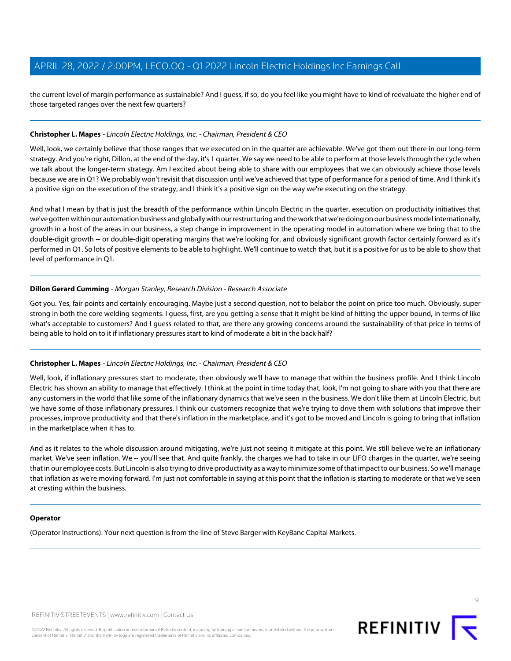the current level of margin performance as sustainable? And I guess, if so, do you feel like you might have to kind of reevaluate the higher end of those targeted ranges over the next few quarters?

# **Christopher L. Mapes** - Lincoln Electric Holdings, Inc. - Chairman, President & CEO

Well, look, we certainly believe that those ranges that we executed on in the quarter are achievable. We've got them out there in our long-term strategy. And you're right, Dillon, at the end of the day, it's 1 quarter. We say we need to be able to perform at those levels through the cycle when we talk about the longer-term strategy. Am I excited about being able to share with our employees that we can obviously achieve those levels because we are in Q1? We probably won't revisit that discussion until we've achieved that type of performance for a period of time. And I think it's a positive sign on the execution of the strategy, and I think it's a positive sign on the way we're executing on the strategy.

And what I mean by that is just the breadth of the performance within Lincoln Electric in the quarter, execution on productivity initiatives that we've gotten within our automation business and globally with our restructuring and the work that we're doing on our business model internationally, growth in a host of the areas in our business, a step change in improvement in the operating model in automation where we bring that to the double-digit growth -- or double-digit operating margins that we're looking for, and obviously significant growth factor certainly forward as it's performed in Q1. So lots of positive elements to be able to highlight. We'll continue to watch that, but it is a positive for us to be able to show that level of performance in Q1.

#### **Dillon Gerard Cumming** - Morgan Stanley, Research Division - Research Associate

Got you. Yes, fair points and certainly encouraging. Maybe just a second question, not to belabor the point on price too much. Obviously, super strong in both the core welding segments. I guess, first, are you getting a sense that it might be kind of hitting the upper bound, in terms of like what's acceptable to customers? And I guess related to that, are there any growing concerns around the sustainability of that price in terms of being able to hold on to it if inflationary pressures start to kind of moderate a bit in the back half?

# **Christopher L. Mapes** - Lincoln Electric Holdings, Inc. - Chairman, President & CEO

Well, look, if inflationary pressures start to moderate, then obviously we'll have to manage that within the business profile. And I think Lincoln Electric has shown an ability to manage that effectively. I think at the point in time today that, look, I'm not going to share with you that there are any customers in the world that like some of the inflationary dynamics that we've seen in the business. We don't like them at Lincoln Electric, but we have some of those inflationary pressures. I think our customers recognize that we're trying to drive them with solutions that improve their processes, improve productivity and that there's inflation in the marketplace, and it's got to be moved and Lincoln is going to bring that inflation in the marketplace when it has to.

And as it relates to the whole discussion around mitigating, we're just not seeing it mitigate at this point. We still believe we're an inflationary market. We've seen inflation. We -- you'll see that. And quite frankly, the charges we had to take in our LIFO charges in the quarter, we're seeing that in our employee costs. But Lincoln is also trying to drive productivity as a way to minimize some of that impact to our business. So we'll manage that inflation as we're moving forward. I'm just not comfortable in saying at this point that the inflation is starting to moderate or that we've seen at cresting within the business.

#### **Operator**

(Operator Instructions). Your next question is from the line of Steve Barger with KeyBanc Capital Markets.



 $\circ$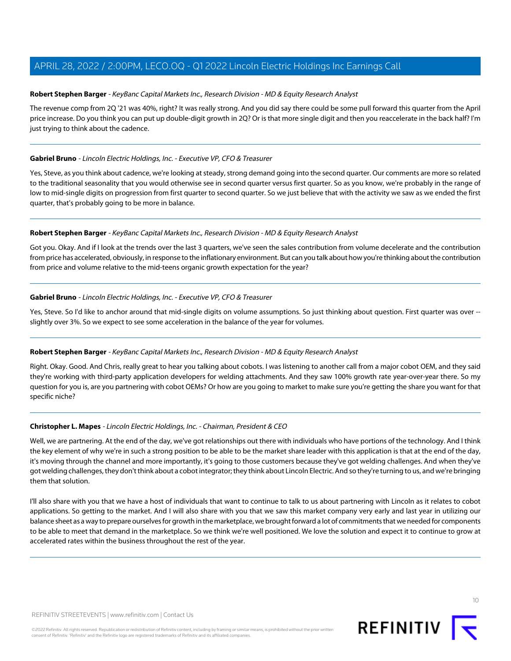# <span id="page-9-0"></span>**Robert Stephen Barger** - KeyBanc Capital Markets Inc., Research Division - MD & Equity Research Analyst

The revenue comp from 2Q '21 was 40%, right? It was really strong. And you did say there could be some pull forward this quarter from the April price increase. Do you think you can put up double-digit growth in 2Q? Or is that more single digit and then you reaccelerate in the back half? I'm just trying to think about the cadence.

#### **Gabriel Bruno** - Lincoln Electric Holdings, Inc. - Executive VP, CFO & Treasurer

Yes, Steve, as you think about cadence, we're looking at steady, strong demand going into the second quarter. Our comments are more so related to the traditional seasonality that you would otherwise see in second quarter versus first quarter. So as you know, we're probably in the range of low to mid-single digits on progression from first quarter to second quarter. So we just believe that with the activity we saw as we ended the first quarter, that's probably going to be more in balance.

#### **Robert Stephen Barger** - KeyBanc Capital Markets Inc., Research Division - MD & Equity Research Analyst

Got you. Okay. And if I look at the trends over the last 3 quarters, we've seen the sales contribution from volume decelerate and the contribution from price has accelerated, obviously, in response to the inflationary environment. But can you talk about how you're thinking about the contribution from price and volume relative to the mid-teens organic growth expectation for the year?

#### **Gabriel Bruno** - Lincoln Electric Holdings, Inc. - Executive VP, CFO & Treasurer

Yes, Steve. So I'd like to anchor around that mid-single digits on volume assumptions. So just thinking about question. First quarter was over -slightly over 3%. So we expect to see some acceleration in the balance of the year for volumes.

#### **Robert Stephen Barger** - KeyBanc Capital Markets Inc., Research Division - MD & Equity Research Analyst

Right. Okay. Good. And Chris, really great to hear you talking about cobots. I was listening to another call from a major cobot OEM, and they said they're working with third-party application developers for welding attachments. And they saw 100% growth rate year-over-year there. So my question for you is, are you partnering with cobot OEMs? Or how are you going to market to make sure you're getting the share you want for that specific niche?

# **Christopher L. Mapes** - Lincoln Electric Holdings, Inc. - Chairman, President & CEO

Well, we are partnering. At the end of the day, we've got relationships out there with individuals who have portions of the technology. And I think the key element of why we're in such a strong position to be able to be the market share leader with this application is that at the end of the day, it's moving through the channel and more importantly, it's going to those customers because they've got welding challenges. And when they've got welding challenges, they don't think about a cobot integrator; they think about Lincoln Electric. And so they're turning to us, and we're bringing them that solution.

I'll also share with you that we have a host of individuals that want to continue to talk to us about partnering with Lincoln as it relates to cobot applications. So getting to the market. And I will also share with you that we saw this market company very early and last year in utilizing our balance sheet as a way to prepare ourselves for growth in the marketplace, we brought forward a lot of commitments that we needed for components to be able to meet that demand in the marketplace. So we think we're well positioned. We love the solution and expect it to continue to grow at accelerated rates within the business throughout the rest of the year.

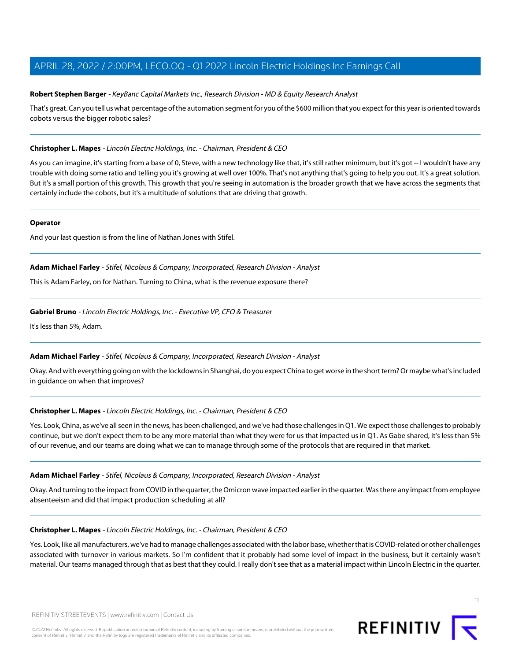## **Robert Stephen Barger** - KeyBanc Capital Markets Inc., Research Division - MD & Equity Research Analyst

That's great. Can you tell us what percentage of the automation segment for you of the \$600 million that you expect for this year is oriented towards cobots versus the bigger robotic sales?

#### **Christopher L. Mapes** - Lincoln Electric Holdings, Inc. - Chairman, President & CEO

As you can imagine, it's starting from a base of 0, Steve, with a new technology like that, it's still rather minimum, but it's got -- I wouldn't have any trouble with doing some ratio and telling you it's growing at well over 100%. That's not anything that's going to help you out. It's a great solution. But it's a small portion of this growth. This growth that you're seeing in automation is the broader growth that we have across the segments that certainly include the cobots, but it's a multitude of solutions that are driving that growth.

#### **Operator**

<span id="page-10-0"></span>And your last question is from the line of Nathan Jones with Stifel.

#### **Adam Michael Farley** - Stifel, Nicolaus & Company, Incorporated, Research Division - Analyst

This is Adam Farley, on for Nathan. Turning to China, what is the revenue exposure there?

#### **Gabriel Bruno** - Lincoln Electric Holdings, Inc. - Executive VP, CFO & Treasurer

It's less than 5%, Adam.

#### **Adam Michael Farley** - Stifel, Nicolaus & Company, Incorporated, Research Division - Analyst

Okay. And with everything going on with the lockdowns in Shanghai, do you expect China to get worse in the short term? Or maybe what's included in guidance on when that improves?

# **Christopher L. Mapes** - Lincoln Electric Holdings, Inc. - Chairman, President & CEO

Yes. Look, China, as we've all seen in the news, has been challenged, and we've had those challenges in Q1. We expect those challenges to probably continue, but we don't expect them to be any more material than what they were for us that impacted us in Q1. As Gabe shared, it's less than 5% of our revenue, and our teams are doing what we can to manage through some of the protocols that are required in that market.

#### **Adam Michael Farley** - Stifel, Nicolaus & Company, Incorporated, Research Division - Analyst

Okay. And turning to the impact from COVID in the quarter, the Omicron wave impacted earlier in the quarter. Was there any impact from employee absenteeism and did that impact production scheduling at all?

#### **Christopher L. Mapes** - Lincoln Electric Holdings, Inc. - Chairman, President & CEO

Yes. Look, like all manufacturers, we've had to manage challenges associated with the labor base, whether that is COVID-related or other challenges associated with turnover in various markets. So I'm confident that it probably had some level of impact in the business, but it certainly wasn't material. Our teams managed through that as best that they could. I really don't see that as a material impact within Lincoln Electric in the quarter.